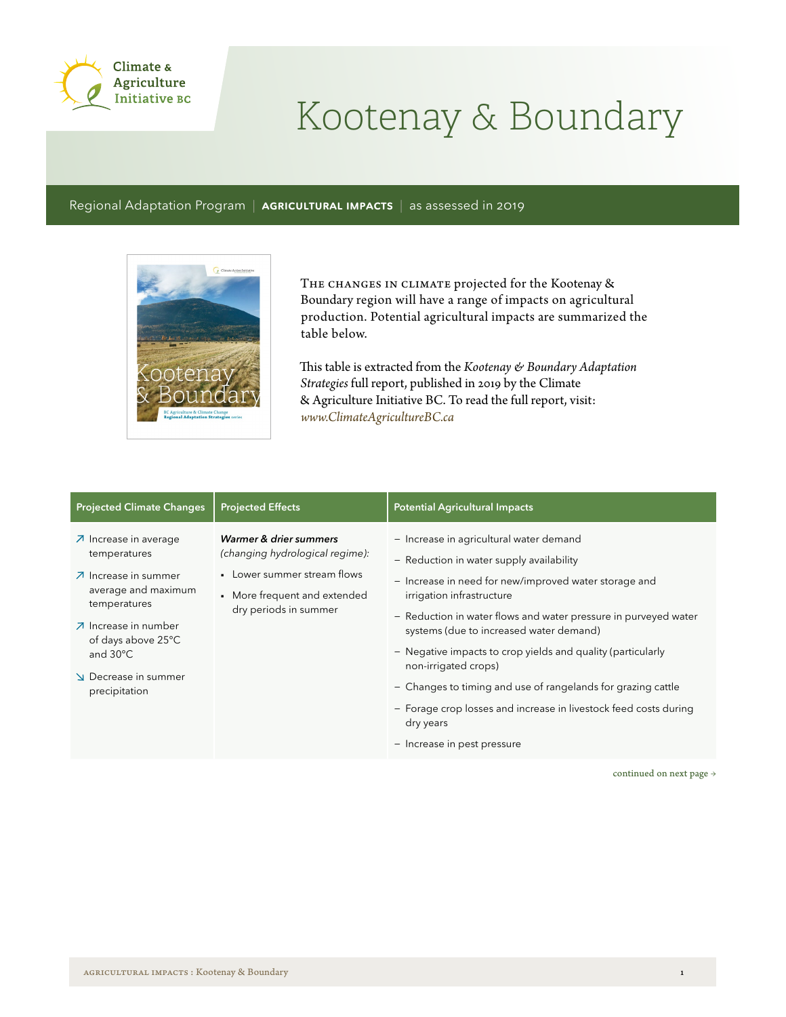

## Kootenay & Boundary

Regional Adaptation Program | AGRICULTURAL IMPACTS | as assessed in 2019



THE CHANGES IN CLIMATE projected for the Kootenay & Boundary region will have a range of impacts on agricultural production. Potential agricultural impacts are summarized the table below.

This table is extracted from the *Kootenay & Boundary Adaptation Strategies* full report, published in 2019 by the Climate & Agriculture Initiative BC. To read the full report, visit: *www.ClimateAgricultureBC.ca*

| <b>Projected Climate Changes</b>                                                                                                                                                                                                       | <b>Projected Effects</b>                                                                                                                          | <b>Potential Agricultural Impacts</b>                                                                                                                                                                                                                                                                                                                                                                                                                                                                                                                          |
|----------------------------------------------------------------------------------------------------------------------------------------------------------------------------------------------------------------------------------------|---------------------------------------------------------------------------------------------------------------------------------------------------|----------------------------------------------------------------------------------------------------------------------------------------------------------------------------------------------------------------------------------------------------------------------------------------------------------------------------------------------------------------------------------------------------------------------------------------------------------------------------------------------------------------------------------------------------------------|
| ○ Increase in average<br>temperatures<br>$\overline{\mathcal{A}}$ Increase in summer<br>average and maximum<br>temperatures<br>⊿ Increase in number<br>of days above 25°C<br>and $30^{\circ}$ C<br>Decrease in summer<br>precipitation | Warmer & drier summers<br>(changing hydrological regime):<br>• Lower summer stream flows<br>• More frequent and extended<br>dry periods in summer | - Increase in agricultural water demand<br>- Reduction in water supply availability<br>- Increase in need for new/improved water storage and<br>irrigation infrastructure<br>- Reduction in water flows and water pressure in purveyed water<br>systems (due to increased water demand)<br>- Negative impacts to crop yields and quality (particularly<br>non-irrigated crops)<br>- Changes to timing and use of rangelands for grazing cattle<br>- Forage crop losses and increase in livestock feed costs during<br>dry years<br>- Increase in pest pressure |

continued on next page  $\rightarrow$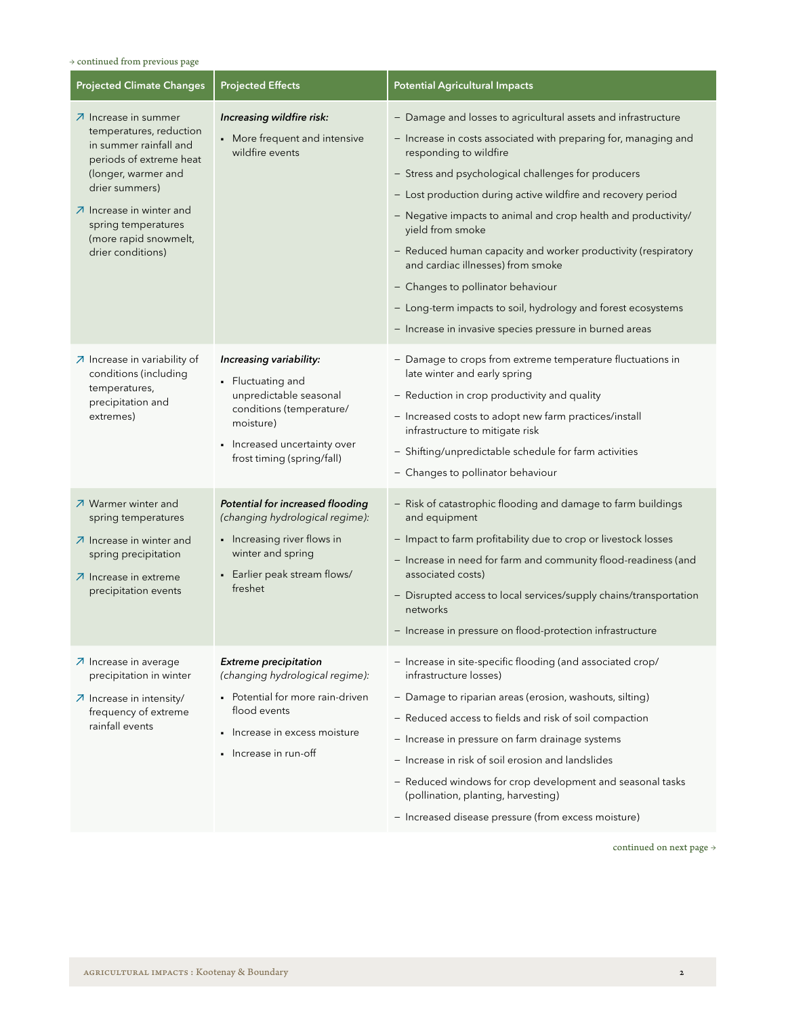## $\rightarrow$  continued from previous page

| <b>Projected Climate Changes</b>                                                                                                                                                                                                                                                     | <b>Projected Effects</b>                                                                                                                                                      | <b>Potential Agricultural Impacts</b>                                                                                                                                                                                                                                                                                                                                                                                                                                                                                                                                                                                                         |
|--------------------------------------------------------------------------------------------------------------------------------------------------------------------------------------------------------------------------------------------------------------------------------------|-------------------------------------------------------------------------------------------------------------------------------------------------------------------------------|-----------------------------------------------------------------------------------------------------------------------------------------------------------------------------------------------------------------------------------------------------------------------------------------------------------------------------------------------------------------------------------------------------------------------------------------------------------------------------------------------------------------------------------------------------------------------------------------------------------------------------------------------|
| $\overline{\mathcal{A}}$ Increase in summer<br>temperatures, reduction<br>in summer rainfall and<br>periods of extreme heat<br>(longer, warmer and<br>drier summers)<br>$\n  \lambda\n  Increase in winter and$<br>spring temperatures<br>(more rapid snowmelt,<br>drier conditions) | Increasing wildfire risk:<br>• More frequent and intensive<br>wildfire events                                                                                                 | - Damage and losses to agricultural assets and infrastructure<br>- Increase in costs associated with preparing for, managing and<br>responding to wildfire<br>- Stress and psychological challenges for producers<br>- Lost production during active wildfire and recovery period<br>- Negative impacts to animal and crop health and productivity/<br>yield from smoke<br>- Reduced human capacity and worker productivity (respiratory<br>and cardiac illnesses) from smoke<br>- Changes to pollinator behaviour<br>- Long-term impacts to soil, hydrology and forest ecosystems<br>- Increase in invasive species pressure in burned areas |
| $\overline{\phantom{a}}$ Increase in variability of<br>conditions (including<br>temperatures,<br>precipitation and<br>extremes)                                                                                                                                                      | Increasing variability:<br>• Fluctuating and<br>unpredictable seasonal<br>conditions (temperature/<br>moisture)<br>• Increased uncertainty over<br>frost timing (spring/fall) | - Damage to crops from extreme temperature fluctuations in<br>late winter and early spring<br>- Reduction in crop productivity and quality<br>- Increased costs to adopt new farm practices/install<br>infrastructure to mitigate risk<br>- Shifting/unpredictable schedule for farm activities<br>- Changes to pollinator behaviour                                                                                                                                                                                                                                                                                                          |
| フ Warmer winter and<br>spring temperatures<br>$\n  \lambda\n  Increase in winter and$<br>spring precipitation<br>○ Increase in extreme<br>precipitation events                                                                                                                       | Potential for increased flooding<br>(changing hydrological regime):<br>• Increasing river flows in<br>winter and spring<br>• Earlier peak stream flows/<br>freshet            | - Risk of catastrophic flooding and damage to farm buildings<br>and equipment<br>- Impact to farm profitability due to crop or livestock losses<br>- Increase in need for farm and community flood-readiness (and<br>associated costs)<br>- Disrupted access to local services/supply chains/transportation<br>networks<br>- Increase in pressure on flood-protection infrastructure                                                                                                                                                                                                                                                          |
| ○ Increase in average<br>precipitation in winter<br>○ Increase in intensity/<br>frequency of extreme<br>rainfall events                                                                                                                                                              | <b>Extreme precipitation</b><br>(changing hydrological regime):<br>• Potential for more rain-driven<br>flood events<br>• Increase in excess moisture<br>• Increase in run-off | - Increase in site-specific flooding (and associated crop/<br>infrastructure losses)<br>- Damage to riparian areas (erosion, washouts, silting)<br>- Reduced access to fields and risk of soil compaction<br>- Increase in pressure on farm drainage systems<br>- Increase in risk of soil erosion and landslides<br>- Reduced windows for crop development and seasonal tasks<br>(pollination, planting, harvesting)<br>- Increased disease pressure (from excess moisture)                                                                                                                                                                  |

continued on next page  $\rightarrow$